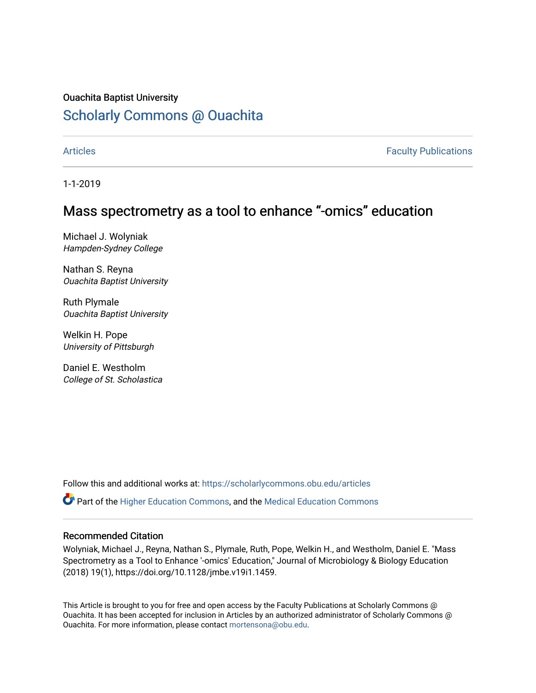### Ouachita Baptist University

# [Scholarly Commons @ Ouachita](https://scholarlycommons.obu.edu/)

[Articles](https://scholarlycommons.obu.edu/articles) **Faculty Publications** 

1-1-2019

## Mass spectrometry as a tool to enhance "-omics" education

Michael J. Wolyniak Hampden-Sydney College

Nathan S. Reyna Ouachita Baptist University

Ruth Plymale Ouachita Baptist University

Welkin H. Pope University of Pittsburgh

Daniel E. Westholm College of St. Scholastica

Follow this and additional works at: [https://scholarlycommons.obu.edu/articles](https://scholarlycommons.obu.edu/articles?utm_source=scholarlycommons.obu.edu%2Farticles%2F333&utm_medium=PDF&utm_campaign=PDFCoverPages) 

Part of the [Higher Education Commons,](http://network.bepress.com/hgg/discipline/1245?utm_source=scholarlycommons.obu.edu%2Farticles%2F333&utm_medium=PDF&utm_campaign=PDFCoverPages) and the [Medical Education Commons](http://network.bepress.com/hgg/discipline/1125?utm_source=scholarlycommons.obu.edu%2Farticles%2F333&utm_medium=PDF&utm_campaign=PDFCoverPages) 

#### Recommended Citation

Wolyniak, Michael J., Reyna, Nathan S., Plymale, Ruth, Pope, Welkin H., and Westholm, Daniel E. "Mass Spectrometry as a Tool to Enhance '-omics' Education," Journal of Microbiology & Biology Education (2018) 19(1), https://doi.org/10.1128/jmbe.v19i1.1459.

This Article is brought to you for free and open access by the Faculty Publications at Scholarly Commons @ Ouachita. It has been accepted for inclusion in Articles by an authorized administrator of Scholarly Commons @ Ouachita. For more information, please contact [mortensona@obu.edu](mailto:mortensona@obu.edu).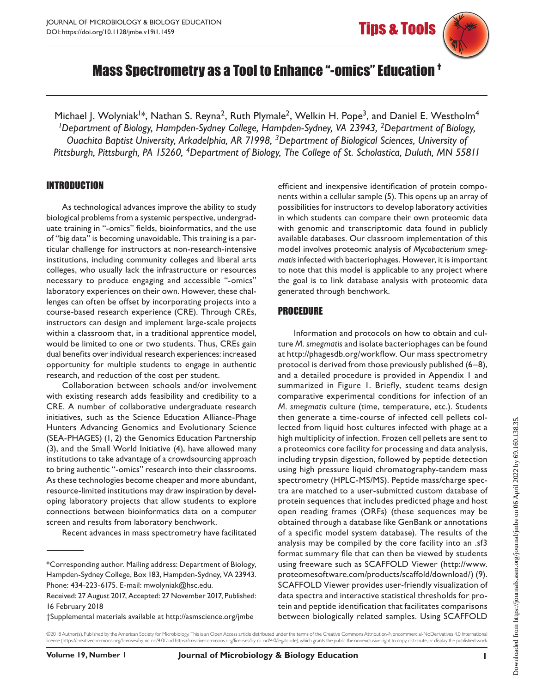# Mass Spectrometry as a Tool to Enhance "-omics" Education †

Michael J. Wolyniak<sup>1\*</sup>, Nathan S. Reyna<sup>2</sup>, Ruth Plymale<sup>2</sup>, Welkin H. Pope<sup>3</sup>, and Daniel E. Westholm<sup>4</sup> *1Department of Biology, Hampden-Sydney College, Hampden-Sydney, VA 23943, 2Department of Biology, Ouachita Baptist University, Arkadelphia, AR 71998, 3Department of Biological Sciences, University of Pittsburgh, Pittsburgh, PA 15260, 4Department of Biology, The College of St. Scholastica, Duluth, MN 55811*

#### INTRODUCTION

As technological advances improve the ability to study biological problems from a systemic perspective, undergraduate training in "-omics" fields, bioinformatics, and the use of "big data" is becoming unavoidable. This training is a particular challenge for instructors at non-research-intensive institutions, including community colleges and liberal arts colleges, who usually lack the infrastructure or resources necessary to produce engaging and accessible "-omics" laboratory experiences on their own. However, these challenges can often be offset by incorporating projects into a course-based research experience (CRE). Through CREs, instructors can design and implement large-scale projects within a classroom that, in a traditional apprentice model, would be limited to one or two students. Thus, CREs gain dual benefits over individual research experiences: increased opportunity for multiple students to engage in authentic research, and reduction of the cost per student.

Collaboration between schools and/or involvement with existing research adds feasibility and credibility to a CRE. A number of collaborative undergraduate research initiatives, such as the Science Education Alliance-Phage Hunters Advancing Genomics and Evolutionary Science (SEA-PHAGES) (1, 2) the Genomics Education Partnership (3), and the Small World Initiative (4), have allowed many institutions to take advantage of a crowdsourcing approach to bring authentic "-omics" research into their classrooms. As these technologies become cheaper and more abundant, resource-limited institutions may draw inspiration by developing laboratory projects that allow students to explore connections between bioinformatics data on a computer screen and results from laboratory benchwork.

Recent advances in mass spectrometry have facilitated

efficient and inexpensive identification of protein components within a cellular sample (5). This opens up an array of possibilities for instructors to develop laboratory activities in which students can compare their own proteomic data with genomic and transcriptomic data found in publicly available databases. Our classroom implementation of this model involves proteomic analysis of *Mycobacterium smegmatis* infected with bacteriophages. However, it is important to note that this model is applicable to any project where the goal is to link database analysis with proteomic data generated through benchwork.

#### PROCEDURE

Information and protocols on how to obtain and culture *M. smegmatis* and isolate bacteriophages can be found at http://phagesdb.org/workflow. Our mass spectrometry protocol is derived from those previously published (6–8), and a detailed procedure is provided in Appendix 1 and summarized in Figure 1. Briefly, student teams design comparative experimental conditions for infection of an *M. smegmatis* culture (time, temperature, etc.). Students then generate a time-course of infected cell pellets collected from liquid host cultures infected with phage at a high multiplicity of infection. Frozen cell pellets are sent to a proteomics core facility for processing and data analysis, including trypsin digestion, followed by peptide detection using high pressure liquid chromatography-tandem mass spectrometry (HPLC-MS/MS). Peptide mass/charge spectra are matched to a user-submitted custom database of protein sequences that includes predicted phage and host open reading frames (ORFs) (these sequences may be obtained through a database like GenBank or annotations of a specific model system database). The results of the analysis may be compiled by the core facility into an .sf3 format summary file that can then be viewed by students using freeware such as SCAFFOLD Viewer (http://www. proteomesoftware.com/products/scaffold/download/) (9). SCAFFOLD Viewer provides user-friendly visualization of data spectra and interactive statistical thresholds for protein and peptide identification that facilitates comparisons between biologically related samples. Using SCAFFOLD

©2018 Author(s). Published by the American Society for Microbiology. This is an Open Access article distributed under the terms of the Creative Commons Attribution-Noncommercial-NoDerivatives 4.0 International

<sup>\*</sup>Corresponding author. Mailing address: Department of Biology, Hampden-Sydney College, Box 183, Hampden-Sydney, VA 23943. Phone: 434-223-6175. E-mail: mwolyniak@hsc.edu.

Received: 27 August 2017, Accepted: 27 November 2017, Published: 16 February 2018

<sup>†</sup>Supplemental materials available at http://asmscience.org/jmbe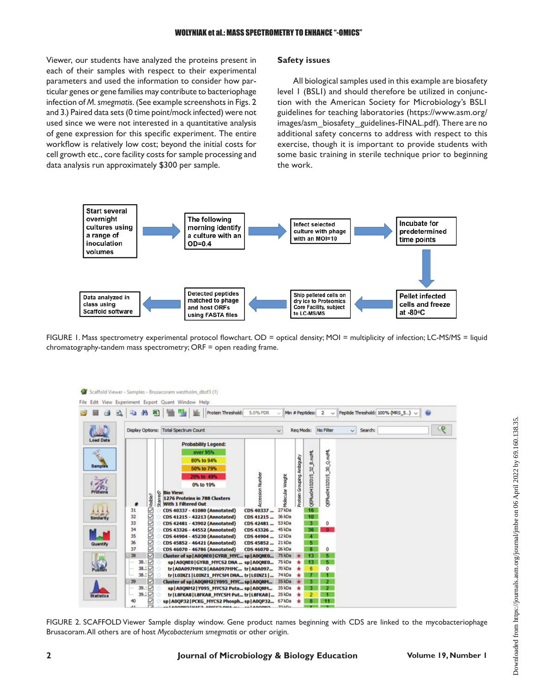Viewer, our students have analyzed the proteins present in each of their samples with respect to their experimental parameters and used the information to consider how particular genes or gene families may contribute to bacteriophage infection of *M. smegmatis*. (See example screenshots in Figs. 2 and 3.) Paired data sets (0 time point/mock infected) were not used since we were not interested in a quantitative analysis of gene expression for this specific experiment. The entire workflow is relatively low cost; beyond the initial costs for cell growth etc., core facility costs for sample processing and 1 **Figure 1** data analysis run approximately \$300 per sample.

#### **Safety issues**

All biological samples used in this example are biosafety level 1 (BSL1) and should therefore be utilized in conjunction with the American Society for Microbiology's BSL1 guidelines for teaching laboratories (https://www.asm.org/ images/asm\_biosafety\_guidelines-FINAL.pdf). There are no additional safety concerns to address with respect to this exercise, though it is important to provide students with some basic training in sterile technique prior to beginning the work.



3 chromatography-tandem mass spectrometry; ORF = open reading frame. FIGURE 1. Mass spectrometry experimental protocol flowchart. OD = optical density; MOI = multiplicity of infection; LC-MS/MS = liquid



5 6 Brusacoram. All others are of host *Mycobacterium smegmatis* or other origin. FIGURE 2. SCAFFOLD Viewer Sample display window. Gene product names beginning with CDS are linked to the mycobacteriophage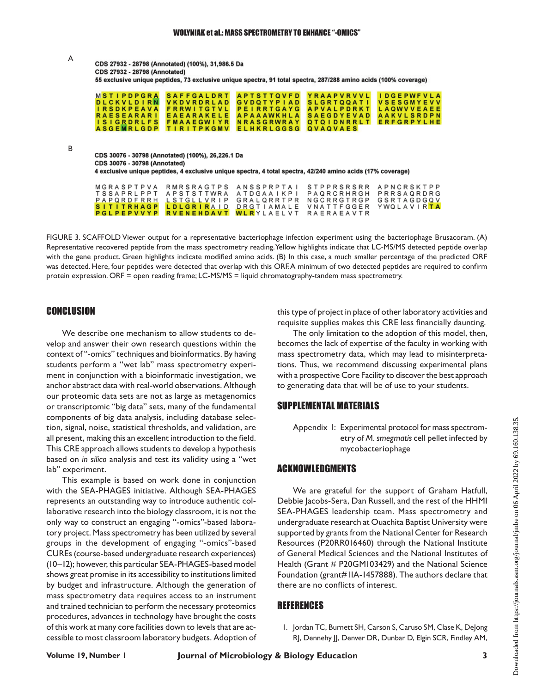| A | CDS 27932 - 28798 (Annotated) (100%), 31,986.5 Da<br><b>CDS 27932 - 28798 (Annotated)</b><br>55 exclusive unique peptides, 73 exclusive unique spectra, 91 total spectra, 287/288 amino acids (100% coverage)                                                                                                                                                                                                                                                                                                                                                                                                 |  |  |  |  |
|---|---------------------------------------------------------------------------------------------------------------------------------------------------------------------------------------------------------------------------------------------------------------------------------------------------------------------------------------------------------------------------------------------------------------------------------------------------------------------------------------------------------------------------------------------------------------------------------------------------------------|--|--|--|--|
|   | <b>MSTIPDPGRA</b><br><b>APTSTTOVFD</b><br><b>YRAAPVRVVL</b><br><b>SAFFGALDRT</b><br><b>IDGEPWFVLA</b><br><b>DLCKVLDIRN</b><br><b>VKDVRDRLAD</b><br><b>GVDOTYPIAD</b><br><b>SLGRTOOATI</b><br><b>VSESGMYEVV</b><br><b>IRSDKPEAVA</b><br><b>FRRWITGTVL</b><br><b>PEIRRTGAYG</b><br><b>APVALPDRKT</b><br><b>LAOWVVEAEE</b><br>EAEARAKELE<br><b>SAEGDYEVAD</b><br><b>RAESEARARI</b><br><b>APAAAWKHLA</b><br><b>AAKVLSRDPN</b><br><b>ISIGRDRLFS</b><br><b>NRASGRWRAY</b><br><b>ERFGRPYLHE</b><br><b>FMAAEGWIYR</b><br><b>OTOIDNRRLT</b><br><b>ASGEMRLGDP</b><br><b>ELHKRLGGSG</b><br>QVAQVAES<br><b>TIRITPKGMV</b> |  |  |  |  |
| В | CDS 30076 - 30798 (Annotated) (100%), 26,226.1 Da<br><b>CDS 30076 - 30798 (Annotated)</b><br>4 exclusive unique peptides, 4 exclusive unique spectra, 4 total spectra, 42/240 amino acids (17% coverage)                                                                                                                                                                                                                                                                                                                                                                                                      |  |  |  |  |

| MGRASPTPVA RMRSRAGTPS ANSSPRPTAI STPPRSRSRR APNCRSKTPP |  |  |
|--------------------------------------------------------|--|--|
| TSSAPRLPPT APSTSTTWRA ATDGAAIKPI PAQRCRHRGH PRRSAQRDRG |  |  |
| PAPQRDFRRH LSTGLLVRIP GRALQRRTPR NGCRRGTRGP GSRTAGDGQV |  |  |
| SITITRHAGP LDLGRIRAID DRGTIAMALE VNATTFGGER YWQLAVIRTA |  |  |
| <b>PGLPEPVVYP RVENEHDAVT WLR</b> YLAELVT RAERAEAVTR    |  |  |

4 FIGURE 3. SCAFFOLD Viewer output for a representative bacteriophage infection experiment using the bacteriophage Brusacoram. (A) was detected. Here, four peptides were detected that overlap with this ORF.A minimum of two detected peptides are required to confirm Representative recovered peptide from the mass spectrometry reading. Yellow highlights indicate that LC-MS/MS detected peptide overlap with the gene product. Green highlights indicate modified amino acids. (B) In this case, a much smaller percentage of the predicted ORF protein expression. ORF = open reading frame; LC-MS/MS = liquid chromatography-tandem mass spectrometry.

# CONCLUSION

We describe one mechanism to allow students to develop and answer their own research questions within the Fore the answer their own research questions when the secondition are the last of expertise of the laster, in<br>context of "-omics" techniques and bioinformatics. By having mass spectrometry data, which may lead to restudents perform a "wet lab" mass spectrometry experiment in conjunction with a bioinformatic investigation, we with a prospective Core Facility to discove<br>enchangement data with real world absorptions. Although we as conserving data that will be af use to u anchor abstract data with real-world observations. Although to generating data the our proteomic data sets are not as large as metagenomics or transcriptomic "big data" sets, many of the fundamental components of big data analysis, including database selection, signal, noise, statistical thresholds, and validation, are all present, making this an excellent introduction to the field.  $\qquad \qquad \qquad$ etry of M. smegmatis cell pell This CRE approach allows students to develop a hypothesis based on *in silico* analysis and test its validity using a "wet lab" experiment. This example is based on work done in conjunction † 9 Supplemental materials available at http://asmscience.org/jmbe

with the SEA-PHAGES initiative. Although SEA-PHAGES represents an outstanding way to introduce authentic collaborative research into the biology classroom, it is not the only way to construct an engaging "-omics"-based laboratory project. Mass spectrometry has been utilized by several groups in the development of engaging "-omics"-based CUREs (course-based undergraduate research experiences) (10–12); however, this particular SEA-PHAGES-based model shows great promise in its accessibility to institutions limited by budget and infrastructure. Although the generation of mass spectrometry data requires access to an instrument and trained technician to perform the necessary proteomics procedures, advances in technology have brought the costs of this work at many core facilities down to levels that are accessible to most classroom laboratory budgets. Adoption of this type of project in place of other laboratory activities and requisite supplies makes this CRE less financially daunting.

The only limitation to the adoption of this model, then, becomes the lack of expertise of the faculty in working with mass spectrometry data, which may lead to misinterpretations. Thus, we recommend discussing experimental plans with a prospective Core Facility to discover the best approach to generating data that will be of use to your students.

#### SUPPLEMENTAL MATERIALS

Appendix 1: Experimental protocol for mass spectrometry of *M. smegmatis* cell pellet infected by mycobacteriophage

#### ACKNOWLEDGMENTS

We are grateful for the support of Graham Hatfull, Debbie Jacobs-Sera, Dan Russell, and the rest of the HHMI SEA-PHAGES leadership team. Mass spectrometry and undergraduate research at Ouachita Baptist University were supported by grants from the National Center for Research Resources (P20RR016460) through the National Institute of General Medical Sciences and the National Institutes of Health (Grant # P20GM103429) and the National Science Foundation (grant# IIA-1457888). The authors declare that there are no conflicts of interest.

#### REFERENCES

1. Jordan TC, Burnett SH, Carson S, Caruso SM, Clase K, DeJong RJ, Dennehy JJ, Denver DR, Dunbar D, Elgin SCR, Findley AM,